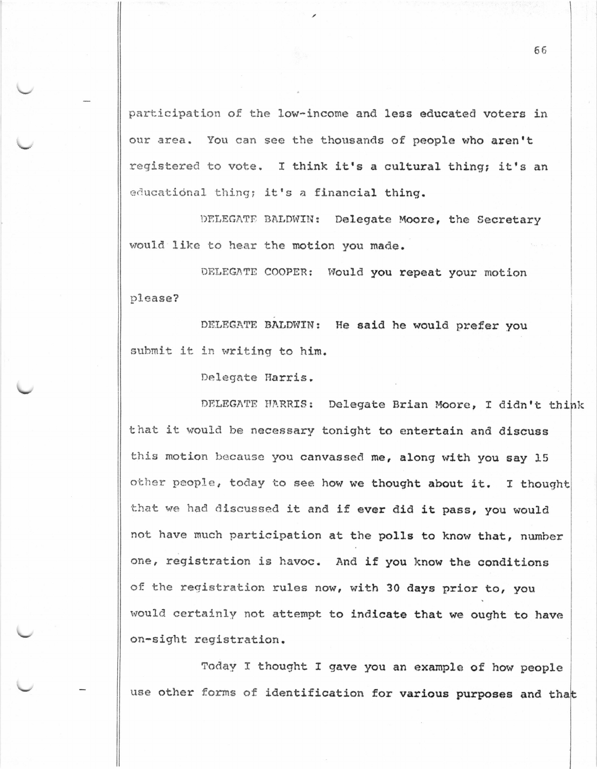participation of the low-income and less educated voters in our area. You can see the thousands of people who aren't registered to vote. I think it's a cultural thing; it's an educational thing; it's a financial thing.

DELEGATE BALDWIN: Delegate Moore, the Secretary would like to hear the motion you made.

DELEGATE COOPER: Would you repeat your motion please?

DELEGATE BALDWIN: He said he would prefer you submit it in writing to him.

Delegate Harris.

DELEGATE HARRIS: Delegate Brian Moore, I didn't think that it would be necessary tonight to entertain and discuss this motion because you canvassed me, along with you say 15 other people, today to see how we thought about it. I thought that we had discussed it and if ever did it pass, you would not have much participation at the polls to know that, number one, registration is havoc. And if you know the conditions of the registration rules now, with 30 days prior to, you would certainly not attempt to indicate that we ought to have on-sight registration.

Today I thought I gave you an example of how people use other forms of identification for various purposes and that